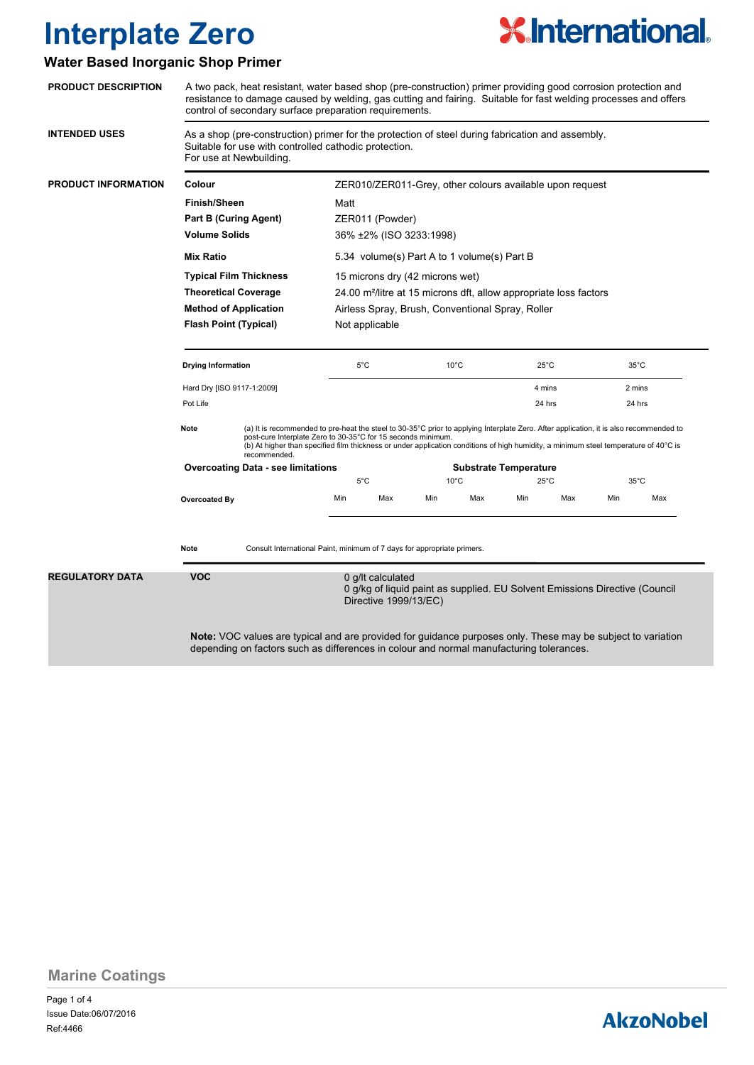

#### **Water Based Inorganic Shop Primer**

| <b>PRODUCT DESCRIPTION</b> | A two pack, heat resistant, water based shop (pre-construction) primer providing good corrosion protection and<br>resistance to damage caused by welding, gas cutting and fairing. Suitable for fast welding processes and offers<br>control of secondary surface preparation requirements.                                                                            |                                           |                                                                  |               |                              |                |                |                |        |                |
|----------------------------|------------------------------------------------------------------------------------------------------------------------------------------------------------------------------------------------------------------------------------------------------------------------------------------------------------------------------------------------------------------------|-------------------------------------------|------------------------------------------------------------------|---------------|------------------------------|----------------|----------------|----------------|--------|----------------|
| <b>INTENDED USES</b>       | As a shop (pre-construction) primer for the protection of steel during fabrication and assembly.<br>Suitable for use with controlled cathodic protection.<br>For use at Newbuilding.                                                                                                                                                                                   |                                           |                                                                  |               |                              |                |                |                |        |                |
| <b>PRODUCT INFORMATION</b> | Colour<br><b>Finish/Sheen</b><br><b>Part B (Curing Agent)</b><br><b>Volume Solids</b><br><b>Mix Ratio</b><br><b>Typical Film Thickness</b><br><b>Theoretical Coverage</b><br><b>Method of Application</b><br><b>Flash Point (Typical)</b>                                                                                                                              |                                           | ZER010/ZER011-Grey, other colours available upon request<br>Matt |               |                              |                |                |                |        |                |
|                            |                                                                                                                                                                                                                                                                                                                                                                        |                                           |                                                                  |               |                              |                |                |                |        |                |
|                            |                                                                                                                                                                                                                                                                                                                                                                        |                                           |                                                                  |               |                              |                |                |                |        |                |
|                            |                                                                                                                                                                                                                                                                                                                                                                        |                                           |                                                                  |               |                              |                |                |                |        |                |
|                            |                                                                                                                                                                                                                                                                                                                                                                        |                                           |                                                                  |               |                              |                |                |                |        |                |
|                            |                                                                                                                                                                                                                                                                                                                                                                        |                                           |                                                                  |               |                              |                |                |                |        |                |
|                            |                                                                                                                                                                                                                                                                                                                                                                        |                                           |                                                                  |               |                              |                |                |                |        |                |
|                            |                                                                                                                                                                                                                                                                                                                                                                        |                                           | Not applicable                                                   |               |                              |                |                |                |        |                |
|                            |                                                                                                                                                                                                                                                                                                                                                                        |                                           | <b>Drying Information</b>                                        |               | $5^{\circ}$ C                |                | $10^{\circ}$ C | $25^{\circ}$ C |        |                |
|                            | Hard Dry [ISO 9117-1:2009]<br>Pot Life                                                                                                                                                                                                                                                                                                                                 |                                           |                                                                  |               |                              | 4 mins         |                | 2 mins         |        |                |
|                            |                                                                                                                                                                                                                                                                                                                                                                        |                                           |                                                                  |               |                              |                | 24 hrs         |                | 24 hrs |                |
|                            | Note<br>(a) It is recommended to pre-heat the steel to 30-35°C prior to applying Interplate Zero. After application, it is also recommended to<br>post-cure Interplate Zero to 30-35°C for 15 seconds minimum.<br>(b) At higher than specified film thickness or under application conditions of high humidity, a minimum steel temperature of 40°C is<br>recommended. |                                           |                                                                  |               |                              |                |                |                |        |                |
|                            |                                                                                                                                                                                                                                                                                                                                                                        | <b>Overcoating Data - see limitations</b> |                                                                  |               | <b>Substrate Temperature</b> |                |                |                |        |                |
|                            |                                                                                                                                                                                                                                                                                                                                                                        |                                           |                                                                  | $5^{\circ}$ C |                              | $10^{\circ}$ C |                | $25^{\circ}$ C |        | $35^{\circ}$ C |
|                            | Overcoated By                                                                                                                                                                                                                                                                                                                                                          |                                           | Min<br>Max                                                       | Min           | Max                          | Min            | Max            | Min            | Max    |                |
|                            |                                                                                                                                                                                                                                                                                                                                                                        |                                           |                                                                  |               |                              |                |                |                |        |                |
|                            | <b>Note</b><br>Consult International Paint, minimum of 7 days for appropriate primers.                                                                                                                                                                                                                                                                                 |                                           |                                                                  |               |                              |                |                |                |        |                |
| <b>REGULATORY DATA</b>     | <b>VOC</b><br>0 g/lt calculated<br>0 g/kg of liquid paint as supplied. EU Solvent Emissions Directive (Council<br>Directive 1999/13/EC)                                                                                                                                                                                                                                |                                           |                                                                  |               |                              |                |                |                |        |                |
|                            | <b>Note:</b> VOC values are typical and are provided for guidance purposes only. These may be subject to variation<br>depending on factors such as differences in colour and normal manufacturing tolerances.                                                                                                                                                          |                                           |                                                                  |               |                              |                |                |                |        |                |

**Marine Coatings**

Page 1 of 4 Ref:4466 Issue Date:06/07/2016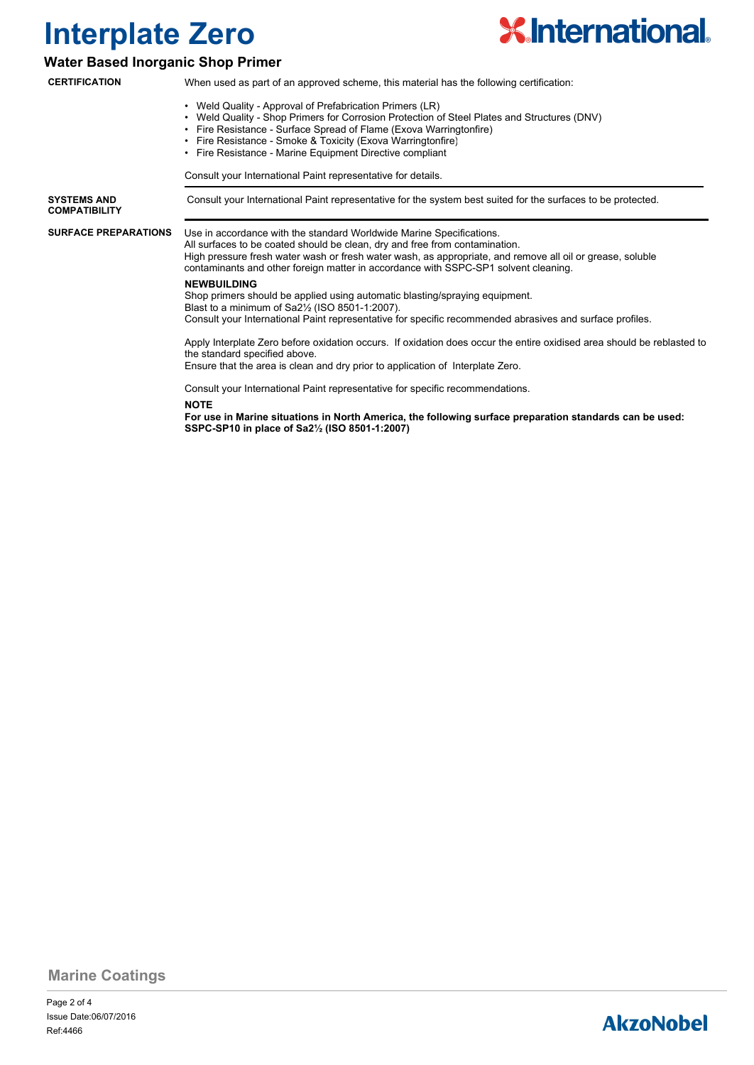

#### **Water Based Inorganic Shop Primer**

| <b>CERTIFICATION</b>                       | When used as part of an approved scheme, this material has the following certification:                                                                                                                                                                                                                                                                  |  |  |  |  |  |
|--------------------------------------------|----------------------------------------------------------------------------------------------------------------------------------------------------------------------------------------------------------------------------------------------------------------------------------------------------------------------------------------------------------|--|--|--|--|--|
|                                            | • Weld Quality - Approval of Prefabrication Primers (LR)<br>• Weld Quality - Shop Primers for Corrosion Protection of Steel Plates and Structures (DNV)<br>• Fire Resistance - Surface Spread of Flame (Exova Warringtonfire)<br>• Fire Resistance - Smoke & Toxicity (Exova Warringtonfire)<br>• Fire Resistance - Marine Equipment Directive compliant |  |  |  |  |  |
|                                            | Consult your International Paint representative for details.                                                                                                                                                                                                                                                                                             |  |  |  |  |  |
| <b>SYSTEMS AND</b><br><b>COMPATIBILITY</b> | Consult your International Paint representative for the system best suited for the surfaces to be protected.                                                                                                                                                                                                                                             |  |  |  |  |  |
| <b>SURFACE PREPARATIONS</b>                | Use in accordance with the standard Worldwide Marine Specifications.<br>All surfaces to be coated should be clean, dry and free from contamination.<br>High pressure fresh water wash or fresh water wash, as appropriate, and remove all oil or grease, soluble<br>contaminants and other foreign matter in accordance with SSPC-SP1 solvent cleaning.  |  |  |  |  |  |
|                                            | <b>NEWBUILDING</b><br>Shop primers should be applied using automatic blasting/spraying equipment.<br>Blast to a minimum of Sa2 <sup>1/2</sup> (ISO 8501-1:2007).<br>Consult your International Paint representative for specific recommended abrasives and surface profiles.                                                                             |  |  |  |  |  |
|                                            | Apply Interplate Zero before oxidation occurs. If oxidation does occur the entire oxidised area should be reblasted to<br>the standard specified above.<br>Ensure that the area is clean and dry prior to application of Interplate Zero.                                                                                                                |  |  |  |  |  |
|                                            | Consult your International Paint representative for specific recommendations.<br><b>NOTE</b><br>For use in Marine situations in North America, the following surface preparation standards can be used:<br>SSPC-SP10 in place of Sa21/2 (ISO 8501-1:2007)                                                                                                |  |  |  |  |  |

**Marine Coatings**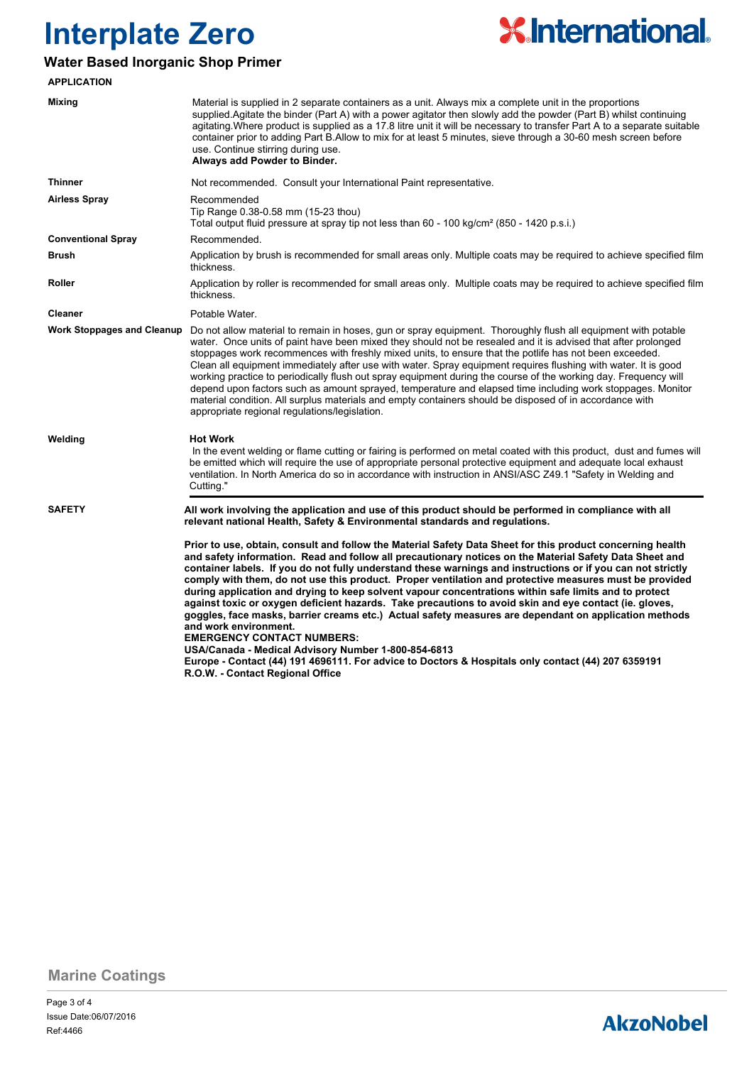

#### **Water Based Inorganic Shop Primer**

| <b>APPLICATION</b>                |                                                                                                                                                                                                                                                                                                                                                                                                                                                                                                                                                                                                                                                                                                                                                                                                                                                                                                                                                                                                                                           |  |  |  |
|-----------------------------------|-------------------------------------------------------------------------------------------------------------------------------------------------------------------------------------------------------------------------------------------------------------------------------------------------------------------------------------------------------------------------------------------------------------------------------------------------------------------------------------------------------------------------------------------------------------------------------------------------------------------------------------------------------------------------------------------------------------------------------------------------------------------------------------------------------------------------------------------------------------------------------------------------------------------------------------------------------------------------------------------------------------------------------------------|--|--|--|
| <b>Mixing</b>                     | Material is supplied in 2 separate containers as a unit. Always mix a complete unit in the proportions<br>supplied. Agitate the binder (Part A) with a power agitator then slowly add the powder (Part B) whilst continuing<br>agitating. Where product is supplied as a 17.8 litre unit it will be necessary to transfer Part A to a separate suitable<br>container prior to adding Part B.Allow to mix for at least 5 minutes, sieve through a 30-60 mesh screen before<br>use. Continue stirring during use.<br>Always add Powder to Binder.                                                                                                                                                                                                                                                                                                                                                                                                                                                                                           |  |  |  |
| <b>Thinner</b>                    | Not recommended. Consult your International Paint representative.                                                                                                                                                                                                                                                                                                                                                                                                                                                                                                                                                                                                                                                                                                                                                                                                                                                                                                                                                                         |  |  |  |
| <b>Airless Spray</b>              | Recommended<br>Tip Range 0.38-0.58 mm (15-23 thou)<br>Total output fluid pressure at spray tip not less than 60 - 100 kg/cm <sup>2</sup> (850 - 1420 p.s.i.)                                                                                                                                                                                                                                                                                                                                                                                                                                                                                                                                                                                                                                                                                                                                                                                                                                                                              |  |  |  |
| <b>Conventional Spray</b>         | Recommended.                                                                                                                                                                                                                                                                                                                                                                                                                                                                                                                                                                                                                                                                                                                                                                                                                                                                                                                                                                                                                              |  |  |  |
| <b>Brush</b>                      | Application by brush is recommended for small areas only. Multiple coats may be required to achieve specified film<br>thickness.                                                                                                                                                                                                                                                                                                                                                                                                                                                                                                                                                                                                                                                                                                                                                                                                                                                                                                          |  |  |  |
| Roller                            | Application by roller is recommended for small areas only. Multiple coats may be required to achieve specified film<br>thickness.                                                                                                                                                                                                                                                                                                                                                                                                                                                                                                                                                                                                                                                                                                                                                                                                                                                                                                         |  |  |  |
| <b>Cleaner</b>                    | Potable Water.                                                                                                                                                                                                                                                                                                                                                                                                                                                                                                                                                                                                                                                                                                                                                                                                                                                                                                                                                                                                                            |  |  |  |
| <b>Work Stoppages and Cleanup</b> | Do not allow material to remain in hoses, gun or spray equipment. Thoroughly flush all equipment with potable<br>water. Once units of paint have been mixed they should not be resealed and it is advised that after prolonged<br>stoppages work recommences with freshly mixed units, to ensure that the potlife has not been exceeded.<br>Clean all equipment immediately after use with water. Spray equipment requires flushing with water. It is good<br>working practice to periodically flush out spray equipment during the course of the working day. Frequency will<br>depend upon factors such as amount sprayed, temperature and elapsed time including work stoppages. Monitor<br>material condition. All surplus materials and empty containers should be disposed of in accordance with<br>appropriate regional regulations/legislation.                                                                                                                                                                                   |  |  |  |
| Welding                           | <b>Hot Work</b><br>In the event welding or flame cutting or fairing is performed on metal coated with this product, dust and fumes will<br>be emitted which will require the use of appropriate personal protective equipment and adequate local exhaust<br>ventilation. In North America do so in accordance with instruction in ANSI/ASC Z49.1 "Safety in Welding and<br>Cutting."                                                                                                                                                                                                                                                                                                                                                                                                                                                                                                                                                                                                                                                      |  |  |  |
| <b>SAFETY</b>                     | All work involving the application and use of this product should be performed in compliance with all<br>relevant national Health, Safety & Environmental standards and regulations.                                                                                                                                                                                                                                                                                                                                                                                                                                                                                                                                                                                                                                                                                                                                                                                                                                                      |  |  |  |
|                                   | Prior to use, obtain, consult and follow the Material Safety Data Sheet for this product concerning health<br>and safety information. Read and follow all precautionary notices on the Material Safety Data Sheet and<br>container labels. If you do not fully understand these warnings and instructions or if you can not strictly<br>comply with them, do not use this product. Proper ventilation and protective measures must be provided<br>during application and drying to keep solvent vapour concentrations within safe limits and to protect<br>against toxic or oxygen deficient hazards. Take precautions to avoid skin and eye contact (ie. gloves,<br>goggles, face masks, barrier creams etc.) Actual safety measures are dependant on application methods<br>and work environment.<br><b>EMERGENCY CONTACT NUMBERS:</b><br>USA/Canada - Medical Advisory Number 1-800-854-6813<br>Europe - Contact (44) 191 4696111. For advice to Doctors & Hospitals only contact (44) 207 6359191<br>R.O.W. - Contact Regional Office |  |  |  |

**Marine Coatings**